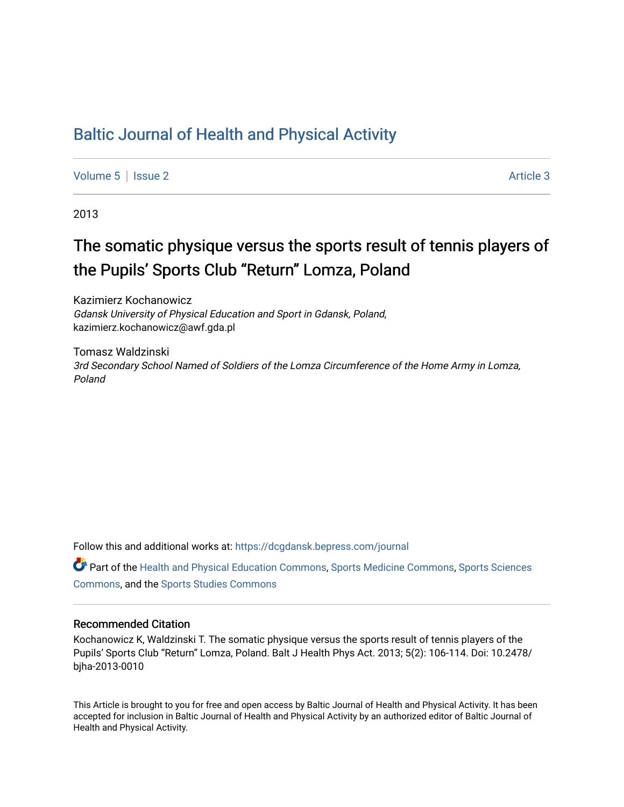# [Baltic Journal of Health and Physical Activity](https://dcgdansk.bepress.com/journal)

[Volume 5](https://dcgdansk.bepress.com/journal/vol5) | [Issue 2](https://dcgdansk.bepress.com/journal/vol5/iss2) Article 3

2013

# The somatic physique versus the sports result of tennis players of the Pupils' Sports Club "Return" Lomza, Poland

Kazimierz Kochanowicz Gdansk University of Physical Education and Sport in Gdansk, Poland, kazimierz.kochanowicz@awf.gda.pl

Tomasz Waldzinski 3rd Secondary School Named of Soldiers of the Lomza Circumference of the Home Army in Lomza, Poland

Follow this and additional works at: [https://dcgdansk.bepress.com/journal](https://dcgdansk.bepress.com/journal?utm_source=dcgdansk.bepress.com%2Fjournal%2Fvol5%2Fiss2%2F3&utm_medium=PDF&utm_campaign=PDFCoverPages)

Part of the [Health and Physical Education Commons](http://network.bepress.com/hgg/discipline/1327?utm_source=dcgdansk.bepress.com%2Fjournal%2Fvol5%2Fiss2%2F3&utm_medium=PDF&utm_campaign=PDFCoverPages), [Sports Medicine Commons,](http://network.bepress.com/hgg/discipline/1331?utm_source=dcgdansk.bepress.com%2Fjournal%2Fvol5%2Fiss2%2F3&utm_medium=PDF&utm_campaign=PDFCoverPages) [Sports Sciences](http://network.bepress.com/hgg/discipline/759?utm_source=dcgdansk.bepress.com%2Fjournal%2Fvol5%2Fiss2%2F3&utm_medium=PDF&utm_campaign=PDFCoverPages) [Commons](http://network.bepress.com/hgg/discipline/759?utm_source=dcgdansk.bepress.com%2Fjournal%2Fvol5%2Fiss2%2F3&utm_medium=PDF&utm_campaign=PDFCoverPages), and the [Sports Studies Commons](http://network.bepress.com/hgg/discipline/1198?utm_source=dcgdansk.bepress.com%2Fjournal%2Fvol5%2Fiss2%2F3&utm_medium=PDF&utm_campaign=PDFCoverPages) 

#### Recommended Citation

Kochanowicz K, Waldzinski T. The somatic physique versus the sports result of tennis players of the Pupils' Sports Club "Return" Lomza, Poland. Balt J Health Phys Act. 2013; 5(2): 106-114. Doi: 10.2478/ bjha-2013-0010

This Article is brought to you for free and open access by Baltic Journal of Health and Physical Activity. It has been accepted for inclusion in Baltic Journal of Health and Physical Activity by an authorized editor of Baltic Journal of Health and Physical Activity.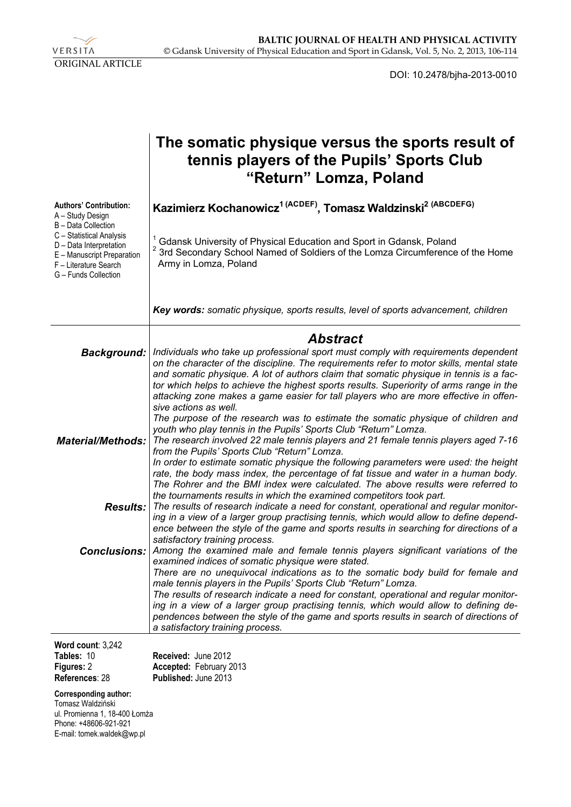

DOI: 10.2478/bjha-2013-0010

|                                                                                                                                    | The somatic physique versus the sports result of<br>tennis players of the Pupils' Sports Club<br>"Return" Lomza, Poland                                                                                                                                                                                                                                                                                                                                                              |
|------------------------------------------------------------------------------------------------------------------------------------|--------------------------------------------------------------------------------------------------------------------------------------------------------------------------------------------------------------------------------------------------------------------------------------------------------------------------------------------------------------------------------------------------------------------------------------------------------------------------------------|
| <b>Authors' Contribution:</b><br>A - Study Design<br>B - Data Collection                                                           | Kazimierz Kochanowicz <sup>1 (ACDEF)</sup> , Tomasz Waldzinski <sup>2 (ABCDEFG)</sup>                                                                                                                                                                                                                                                                                                                                                                                                |
| C - Statistical Analysis<br>D - Data Interpretation<br>E - Manuscript Preparation<br>F - Literature Search<br>G - Funds Collection | Gdansk University of Physical Education and Sport in Gdansk, Poland<br><sup>2</sup> 3rd Secondary School Named of Soldiers of the Lomza Circumference of the Home<br>Army in Lomza, Poland                                                                                                                                                                                                                                                                                           |
|                                                                                                                                    | Key words: somatic physique, sports results, level of sports advancement, children                                                                                                                                                                                                                                                                                                                                                                                                   |
|                                                                                                                                    | <b>Abstract</b>                                                                                                                                                                                                                                                                                                                                                                                                                                                                      |
| <b>Background:</b>                                                                                                                 | Individuals who take up professional sport must comply with requirements dependent<br>on the character of the discipline. The requirements refer to motor skills, mental state<br>and somatic physique. A lot of authors claim that somatic physique in tennis is a fac-<br>tor which helps to achieve the highest sports results. Superiority of arms range in the<br>attacking zone makes a game easier for tall players who are more effective in offen-<br>sive actions as well. |
| <b>Material/Methods:</b>                                                                                                           | The purpose of the research was to estimate the somatic physique of children and<br>youth who play tennis in the Pupils' Sports Club "Return" Lomza.<br>The research involved 22 male tennis players and 21 female tennis players aged 7-16<br>from the Pupils' Sports Club "Return" Lomza.<br>In order to estimate somatic physique the following parameters were used: the height                                                                                                  |
|                                                                                                                                    | rate, the body mass index, the percentage of fat tissue and water in a human body.<br>The Rohrer and the BMI index were calculated. The above results were referred to                                                                                                                                                                                                                                                                                                               |
| Results:                                                                                                                           | the tournaments results in which the examined competitors took part.<br>The results of research indicate a need for constant, operational and regular monitor-<br>ing in a view of a larger group practising tennis, which would allow to define depend-<br>ence between the style of the game and sports results in searching for directions of a<br>satisfactory training process.                                                                                                 |
| <b>Conclusions:</b>                                                                                                                | Among the examined male and female tennis players significant variations of the<br>examined indices of somatic physique were stated.                                                                                                                                                                                                                                                                                                                                                 |
|                                                                                                                                    | There are no unequivocal indications as to the somatic body build for female and<br>male tennis players in the Pupils' Sports Club "Return" Lomza.                                                                                                                                                                                                                                                                                                                                   |
|                                                                                                                                    | The results of research indicate a need for constant, operational and regular monitor-<br>ing in a view of a larger group practising tennis, which would allow to defining de-<br>pendences between the style of the game and sports results in search of directions of<br>a satisfactory training process.                                                                                                                                                                          |
| Word count: 3,242                                                                                                                  |                                                                                                                                                                                                                                                                                                                                                                                                                                                                                      |
| Tables: 10                                                                                                                         | Received: June 2012                                                                                                                                                                                                                                                                                                                                                                                                                                                                  |
| Figures: 2<br>References: 28                                                                                                       | Accepted: February 2013<br>Published: June 2013                                                                                                                                                                                                                                                                                                                                                                                                                                      |

**Corresponding author:** 

Tomasz Waldziński ul. Promienna 1, 18-400 Łomża Phone: +48606-921-921 E-mail: tomek.waldek@wp.pl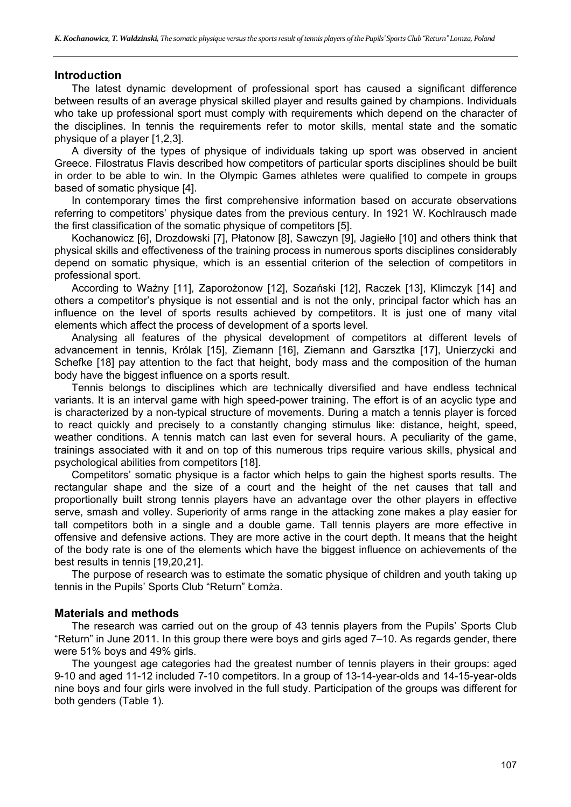# **Introduction**

The latest dynamic development of professional sport has caused a significant difference between results of an average physical skilled player and results gained by champions. Individuals who take up professional sport must comply with requirements which depend on the character of the disciplines. In tennis the requirements refer to motor skills, mental state and the somatic physique of a player [1,2,3].

A diversity of the types of physique of individuals taking up sport was observed in ancient Greece. Filostratus Flavis described how competitors of particular sports disciplines should be built in order to be able to win. In the Olympic Games athletes were qualified to compete in groups based of somatic physique [4].

In contemporary times the first comprehensive information based on accurate observations referring to competitors' physique dates from the previous century. In 1921 W. Kochlrausch made the first classification of the somatic physique of competitors [5].

Kochanowicz [6], Drozdowski [7], Płatonow [8], Sawczyn [9], Jagiełło [10] and others think that physical skills and effectiveness of the training process in numerous sports disciplines considerably depend on somatic physique, which is an essential criterion of the selection of competitors in professional sport.

According to Ważny [11], Zaporożonow [12], Sozański [12], Raczek [13], Klimczyk [14] and others a competitor's physique is not essential and is not the only, principal factor which has an influence on the level of sports results achieved by competitors. It is just one of many vital elements which affect the process of development of a sports level.

Analysing all features of the physical development of competitors at different levels of advancement in tennis, Królak [15], Ziemann [16], Ziemann and Garsztka [17], Unierzycki and Schefke [18] pay attention to the fact that height, body mass and the composition of the human body have the biggest influence on a sports result.

Tennis belongs to disciplines which are technically diversified and have endless technical variants. It is an interval game with high speed-power training. The effort is of an acyclic type and is characterized by a non-typical structure of movements. During a match a tennis player is forced to react quickly and precisely to a constantly changing stimulus like: distance, height, speed, weather conditions. A tennis match can last even for several hours. A peculiarity of the game, trainings associated with it and on top of this numerous trips require various skills, physical and psychological abilities from competitors [18].

Competitors' somatic physique is a factor which helps to gain the highest sports results. The rectangular shape and the size of a court and the height of the net causes that tall and proportionally built strong tennis players have an advantage over the other players in effective serve, smash and volley. Superiority of arms range in the attacking zone makes a play easier for tall competitors both in a single and a double game. Tall tennis players are more effective in offensive and defensive actions. They are more active in the court depth. It means that the height of the body rate is one of the elements which have the biggest influence on achievements of the best results in tennis [19,20,21].

The purpose of research was to estimate the somatic physique of children and youth taking up tennis in the Pupils' Sports Club "Return" Łomża.

# **Materials and methods**

The research was carried out on the group of 43 tennis players from the Pupils' Sports Club "Return" in June 2011. In this group there were boys and girls aged 7–10. As regards gender, there were 51% boys and 49% girls.

The youngest age categories had the greatest number of tennis players in their groups: aged 9-10 and aged 11-12 included 7-10 competitors. In a group of 13-14-year-olds and 14-15-year-olds nine boys and four girls were involved in the full study. Participation of the groups was different for both genders (Table 1).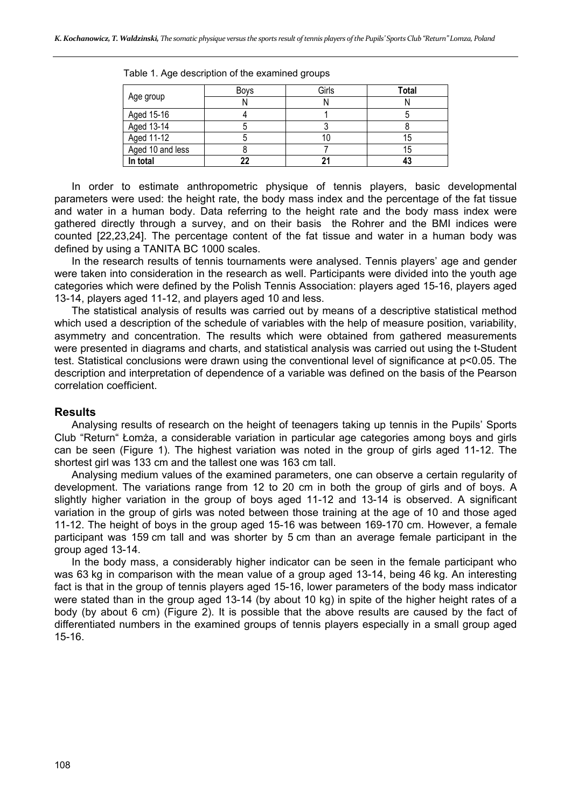|                  | <b>Boys</b> | Girls | <b>Total</b> |
|------------------|-------------|-------|--------------|
| Age group        |             |       |              |
| Aged 15-16       |             |       |              |
| Aged 13-14       |             |       |              |
| Aged 11-12       |             |       | 15           |
| Aged 10 and less |             |       | 15           |
| In total         | 22          |       |              |

Table 1. Age description of the examined groups

In order to estimate anthropometric physique of tennis players, basic developmental parameters were used: the height rate, the body mass index and the percentage of the fat tissue and water in a human body. Data referring to the height rate and the body mass index were gathered directly through a survey, and on their basis the Rohrer and the BMI indices were counted [22,23,24]. The percentage content of the fat tissue and water in a human body was defined by using a TANITA BC 1000 scales.

In the research results of tennis tournaments were analysed. Tennis players' age and gender were taken into consideration in the research as well. Participants were divided into the youth age categories which were defined by the Polish Tennis Association: players aged 15-16, players aged 13-14, players aged 11-12, and players aged 10 and less.

The statistical analysis of results was carried out by means of a descriptive statistical method which used a description of the schedule of variables with the help of measure position, variability, asymmetry and concentration. The results which were obtained from gathered measurements were presented in diagrams and charts, and statistical analysis was carried out using the t-Student test. Statistical conclusions were drawn using the conventional level of significance at p<0.05. The description and interpretation of dependence of a variable was defined on the basis of the Pearson correlation coefficient.

# **Results**

Analysing results of research on the height of teenagers taking up tennis in the Pupils' Sports Club "Return" Łomża, a considerable variation in particular age categories among boys and girls can be seen (Figure 1). The highest variation was noted in the group of girls aged 11-12. The shortest girl was 133 cm and the tallest one was 163 cm tall.

Analysing medium values of the examined parameters, one can observe a certain regularity of development. The variations range from 12 to 20 cm in both the group of girls and of boys. A slightly higher variation in the group of boys aged 11-12 and 13-14 is observed. A significant variation in the group of girls was noted between those training at the age of 10 and those aged 11-12. The height of boys in the group aged 15-16 was between 169-170 cm. However, a female participant was 159 cm tall and was shorter by 5 cm than an average female participant in the group aged 13-14.

In the body mass, a considerably higher indicator can be seen in the female participant who was 63 kg in comparison with the mean value of a group aged 13-14, being 46 kg. An interesting fact is that in the group of tennis players aged 15-16, lower parameters of the body mass indicator were stated than in the group aged 13-14 (by about 10 kg) in spite of the higher height rates of a body (by about 6 cm) (Figure 2). It is possible that the above results are caused by the fact of differentiated numbers in the examined groups of tennis players especially in a small group aged 15-16.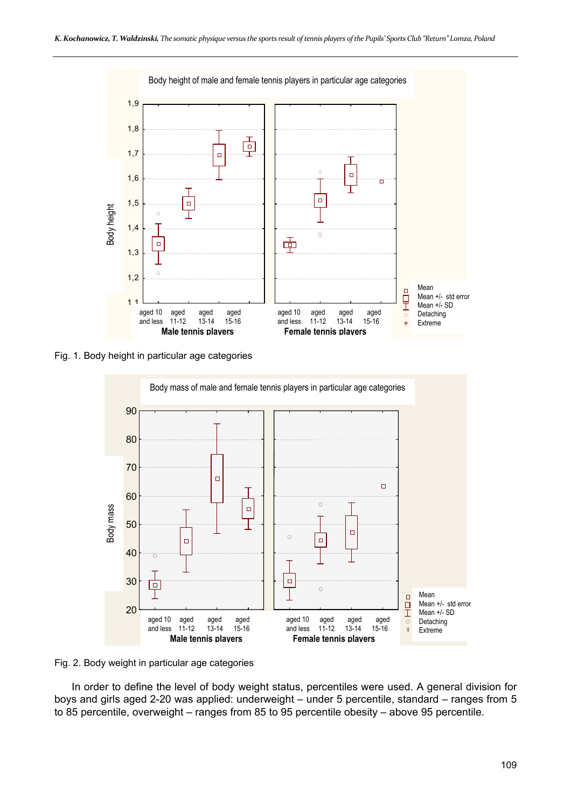

Fig. 1. Body height in particular age categories



Fig. 2. Body weight in particular age categories

In order to define the level of body weight status, percentiles were used. A general division for boys and girls aged 2-20 was applied: underweight – under 5 percentile, standard – ranges from 5 to 85 percentile, overweight – ranges from 85 to 95 percentile obesity – above 95 percentile.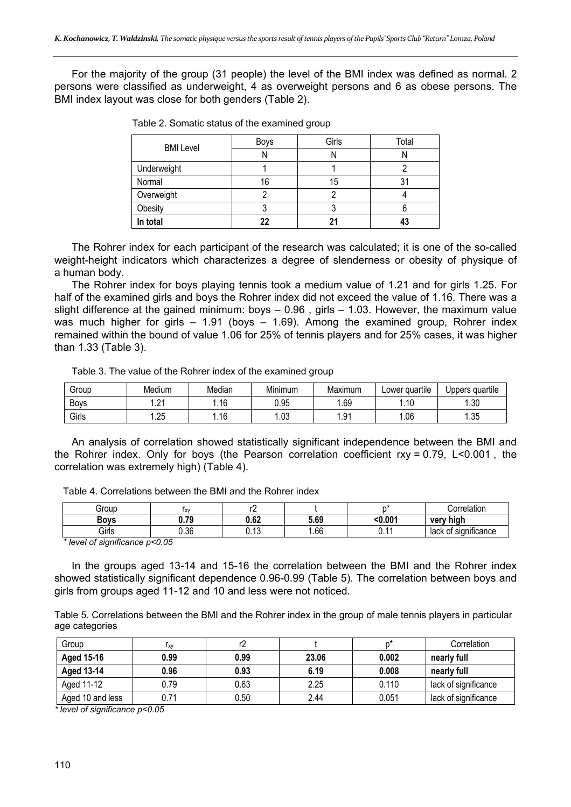For the majority of the group (31 people) the level of the BMI index was defined as normal. 2 persons were classified as underweight, 4 as overweight persons and 6 as obese persons. The BMI index layout was close for both genders (Table 2).

| <b>BMI</b> Level | Boys     | Girls | Total |  |
|------------------|----------|-------|-------|--|
|                  | N        |       | I١    |  |
| Underweight      |          |       |       |  |
| Normal           | 16<br>15 |       | 31    |  |
| Overweight       |          |       |       |  |
| Obesity          | ر ،      |       |       |  |
| In total         | 22       |       | 43    |  |

| Table 2. Somatic status of the examined group |  |  |
|-----------------------------------------------|--|--|
|                                               |  |  |

The Rohrer index for each participant of the research was calculated; it is one of the so-called weight-height indicators which characterizes a degree of slenderness or obesity of physique of a human body.

The Rohrer index for boys playing tennis took a medium value of 1.21 and for girls 1.25. For half of the examined girls and boys the Rohrer index did not exceed the value of 1.16. There was a slight difference at the gained minimum: boys – 0.96 , girls – 1.03. However, the maximum value was much higher for girls – 1.91 (boys – 1.69). Among the examined group, Rohrer index remained within the bound of value 1.06 for 25% of tennis players and for 25% cases, it was higher than 1.33 (Table 3).

Table 3. The value of the Rohrer index of the examined group

| Group       | Medium          | Median | .<br>Minimum | Maximum        | <sup>.</sup> quartile<br>Lower | Uppers quartile |
|-------------|-----------------|--------|--------------|----------------|--------------------------------|-----------------|
| <b>Boys</b> | $^{\circ}$<br>. | . 16   | 0.95         | .69            | l.10                           | .30             |
| Girls       | .25             | .16    | .03          | <b>Q1</b><br>. | .06                            | -25<br>∴∪∪.     |

An analysis of correlation showed statistically significant independence between the BMI and the Rohrer index. Only for boys (the Pearson correlation coefficient rxy = 0.79, L<0.001 , the correlation was extremely high) (Table 4).

Table 4. Correlations between the BMI and the Rohrer index

| Grour                                                                                                     | <b>XV</b>     | . .                       |      |         | Correlation                         |  |
|-----------------------------------------------------------------------------------------------------------|---------------|---------------------------|------|---------|-------------------------------------|--|
| <b>Bo</b> ns                                                                                              | -70<br>v. 1 J | ۰ ه.<br>U.0∠              | 5.69 | < 0.004 | very high                           |  |
| Girls                                                                                                     | J.36          | .1 <sup>o</sup><br>v. I v | .66  | ັ.      | . .<br>lack<br>' significance<br>0t |  |
| $*$ $! \rightarrow 0 \rightarrow 0 \rightarrow 0 \rightarrow 0 \rightarrow 0 \rightarrow 0 \rightarrow 0$ |               |                           |      |         |                                     |  |

*\* level of significance p<0.05* 

In the groups aged 13-14 and 15-16 the correlation between the BMI and the Rohrer index showed statistically significant dependence 0.96-0.99 (Table 5). The correlation between boys and girls from groups aged 11-12 and 10 and less were not noticed.

Table 5. Correlations between the BMI and the Rohrer index in the group of male tennis players in particular age categories

| Group            | Iχν  |      |       | n*    | Correlation          |
|------------------|------|------|-------|-------|----------------------|
| Aged 15-16       | 0.99 | 0.99 | 23.06 | 0.002 | nearly full          |
| Aged 13-14       | 0.96 | 0.93 | 6.19  | 0.008 | nearly full          |
| Aged 11-12       | 0.79 | 0.63 | 2.25  | 0.110 | lack of significance |
| Aged 10 and less | 0.71 | 0.50 | 2.44  | 0.051 | lack of significance |

*\* level of significance p<0.05*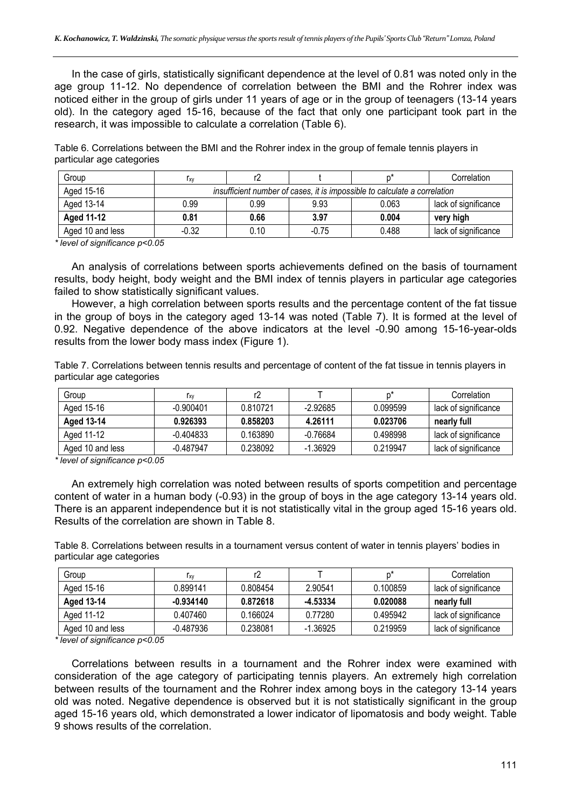In the case of girls, statistically significant dependence at the level of 0.81 was noted only in the age group 11-12. No dependence of correlation between the BMI and the Rohrer index was noticed either in the group of girls under 11 years of age or in the group of teenagers (13-14 years old). In the category aged 15-16, because of the fact that only one participant took part in the research, it was impossible to calculate a correlation (Table 6).

Table 6. Correlations between the BMI and the Rohrer index in the group of female tennis players in particular age categories

| Group            | l xv                                                                      |      |         |       | Correlation          |
|------------------|---------------------------------------------------------------------------|------|---------|-------|----------------------|
| Aged 15-16       | insufficient number of cases, it is impossible to calculate a correlation |      |         |       |                      |
| Aged 13-14       | 0.99                                                                      | 0.99 | 9.93    | 0.063 | lack of significance |
| Aged 11-12       | 0.81                                                                      | 0.66 | 3.97    | 0.004 | very high            |
| Aged 10 and less | -0.32                                                                     | 0.10 | $-0.75$ | 0.488 | lack of significance |

*\* level of significance p<0.05* 

An analysis of correlations between sports achievements defined on the basis of tournament results, body height, body weight and the BMI index of tennis players in particular age categories failed to show statistically significant values.

However, a high correlation between sports results and the percentage content of the fat tissue in the group of boys in the category aged 13-14 was noted (Table 7). It is formed at the level of 0.92. Negative dependence of the above indicators at the level -0.90 among 15-16-year-olds results from the lower body mass index (Figure 1).

Table 7. Correlations between tennis results and percentage of content of the fat tissue in tennis players in particular age categories

| Group            | Γxν         |          |            |          | Correlation          |
|------------------|-------------|----------|------------|----------|----------------------|
| Aged 15-16       | $-0.900401$ | 0.810721 | $-2.92685$ | 0.099599 | lack of significance |
| Aged 13-14       | 0.926393    | 0.858203 | 4.26111    | 0.023706 | nearly full          |
| Aged 11-12       | -0.404833   | 0.163890 | $-0.76684$ | 0.498998 | lack of significance |
| Aged 10 and less | $-0.487947$ | 0.238092 | -1.36929   | 0.219947 | lack of significance |

*\* level of significance p<0.05* 

An extremely high correlation was noted between results of sports competition and percentage content of water in a human body (-0.93) in the group of boys in the age category 13-14 years old. There is an apparent independence but it is not statistically vital in the group aged 15-16 years old. Results of the correlation are shown in Table 8.

Table 8. Correlations between results in a tournament versus content of water in tennis players' bodies in particular age categories

| Group            | I xv        |          |            |          | Correlation          |
|------------------|-------------|----------|------------|----------|----------------------|
| Aged 15-16       | 0.899141    | 0.808454 | 2.90541    | 0.100859 | lack of significance |
| Aged 13-14       | $-0.934140$ | 0.872618 | -4.53334   | 0.020088 | nearly full          |
| Aged 11-12       | 0.407460    | 0.166024 | 0.77280    | 0.495942 | lack of significance |
| Aged 10 and less | -0.487936   | 0.238081 | $-1.36925$ | 0.219959 | lack of significance |

*\* level of significance p<0.05* 

Correlations between results in a tournament and the Rohrer index were examined with consideration of the age category of participating tennis players. An extremely high correlation between results of the tournament and the Rohrer index among boys in the category 13-14 years old was noted. Negative dependence is observed but it is not statistically significant in the group aged 15-16 years old, which demonstrated a lower indicator of lipomatosis and body weight. Table 9 shows results of the correlation.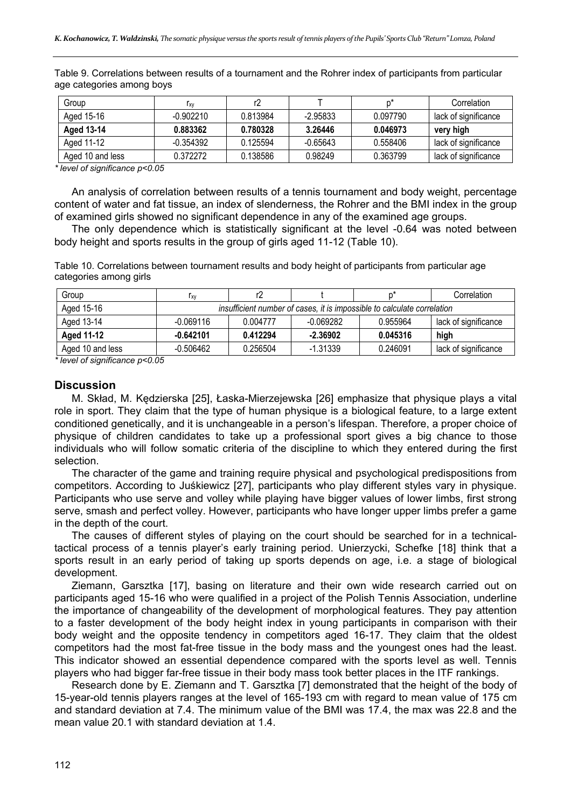Table 9. Correlations between results of a tournament and the Rohrer index of participants from particular age categories among boys

| Group            | l xv        |          |            |          | Correlation          |
|------------------|-------------|----------|------------|----------|----------------------|
| Aged 15-16       | $-0.902210$ | 0.813984 | -2.95833   | 0.097790 | lack of significance |
| Aged 13-14       | 0.883362    | 0.780328 | 3.26446    | 0.046973 | very high            |
| Aged 11-12       | -0.354392   | 0.125594 | $-0.65643$ | 0.558406 | lack of significance |
| Aged 10 and less | 0.372272    | 0.138586 | 0.98249    | 0.363799 | lack of significance |

*\* level of significance p<0.05* 

An analysis of correlation between results of a tennis tournament and body weight, percentage content of water and fat tissue, an index of slenderness, the Rohrer and the BMI index in the group of examined girls showed no significant dependence in any of the examined age groups.

The only dependence which is statistically significant at the level -0.64 was noted between body height and sports results in the group of girls aged 11-12 (Table 10).

Table 10. Correlations between tournament results and body height of participants from particular age categories among girls

| Group            | ľχγ                                                                     |          |            |          | Correlation          |  |
|------------------|-------------------------------------------------------------------------|----------|------------|----------|----------------------|--|
| Aged 15-16       | insufficient number of cases, it is impossible to calculate correlation |          |            |          |                      |  |
| Aged 13-14       | $-0.069116$                                                             | 0.004777 | -0.069282  | 0.955964 | lack of significance |  |
| Aged 11-12       | $-0.642101$                                                             | 0.412294 | $-2.36902$ | 0.045316 | high                 |  |
| Aged 10 and less | $-0.506462$                                                             | 0.256504 | $-1.31339$ | 0.246091 | lack of significance |  |

*\* level of significance p<0.05* 

# **Discussion**

M. Skład, M. Kędzierska [25], Łaska-Mierzejewska [26] emphasize that physique plays a vital role in sport. They claim that the type of human physique is a biological feature, to a large extent conditioned genetically, and it is unchangeable in a person's lifespan. Therefore, a proper choice of physique of children candidates to take up a professional sport gives a big chance to those individuals who will follow somatic criteria of the discipline to which they entered during the first selection.

The character of the game and training require physical and psychological predispositions from competitors. According to Juśkiewicz [27], participants who play different styles vary in physique. Participants who use serve and volley while playing have bigger values of lower limbs, first strong serve, smash and perfect volley. However, participants who have longer upper limbs prefer a game in the depth of the court.

The causes of different styles of playing on the court should be searched for in a technicaltactical process of a tennis player's early training period. Unierzycki, Schefke [18] think that a sports result in an early period of taking up sports depends on age, i.e. a stage of biological development.

Ziemann, Garsztka [17], basing on literature and their own wide research carried out on participants aged 15-16 who were qualified in a project of the Polish Tennis Association, underline the importance of changeability of the development of morphological features. They pay attention to a faster development of the body height index in young participants in comparison with their body weight and the opposite tendency in competitors aged 16-17. They claim that the oldest competitors had the most fat-free tissue in the body mass and the youngest ones had the least. This indicator showed an essential dependence compared with the sports level as well. Tennis players who had bigger far-free tissue in their body mass took better places in the ITF rankings.

Research done by E. Ziemann and T. Garsztka [7] demonstrated that the height of the body of 15-year-old tennis players ranges at the level of 165-193 cm with regard to mean value of 175 cm and standard deviation at 7.4. The minimum value of the BMI was 17.4, the max was 22.8 and the mean value 20.1 with standard deviation at 1.4.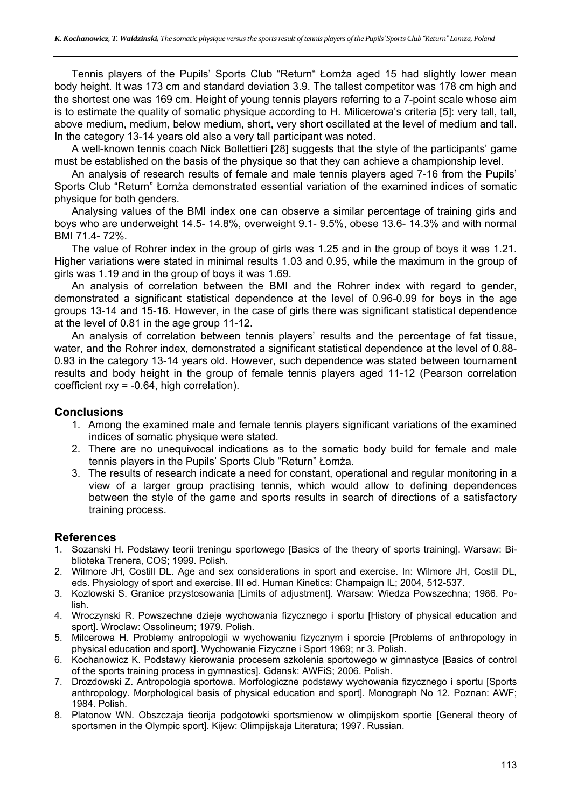Tennis players of the Pupils' Sports Club "Return" Łomża aged 15 had slightly lower mean body height. It was 173 cm and standard deviation 3.9. The tallest competitor was 178 cm high and the shortest one was 169 cm. Height of young tennis players referring to a 7-point scale whose aim is to estimate the quality of somatic physique according to H. Milicerowa's criteria [5]: very tall, tall, above medium, medium, below medium, short, very short oscillated at the level of medium and tall. In the category 13-14 years old also a very tall participant was noted.

A well-known tennis coach Nick Bollettieri [28] suggests that the style of the participants' game must be established on the basis of the physique so that they can achieve a championship level.

An analysis of research results of female and male tennis players aged 7-16 from the Pupils' Sports Club "Return" Łomża demonstrated essential variation of the examined indices of somatic physique for both genders.

Analysing values of the BMI index one can observe a similar percentage of training girls and boys who are underweight 14.5- 14.8%, overweight 9.1- 9.5%, obese 13.6- 14.3% and with normal BMI 71.4- 72%.

The value of Rohrer index in the group of girls was 1.25 and in the group of boys it was 1.21. Higher variations were stated in minimal results 1.03 and 0.95, while the maximum in the group of girls was 1.19 and in the group of boys it was 1.69.

An analysis of correlation between the BMI and the Rohrer index with regard to gender, demonstrated a significant statistical dependence at the level of 0.96-0.99 for boys in the age groups 13-14 and 15-16. However, in the case of girls there was significant statistical dependence at the level of 0.81 in the age group 11-12.

An analysis of correlation between tennis players' results and the percentage of fat tissue, water, and the Rohrer index, demonstrated a significant statistical dependence at the level of 0.88- 0.93 in the category 13-14 years old. However, such dependence was stated between tournament results and body height in the group of female tennis players aged 11-12 (Pearson correlation coefficient rxy = -0.64, high correlation).

# **Conclusions**

- 1. Among the examined male and female tennis players significant variations of the examined indices of somatic physique were stated.
- 2. There are no unequivocal indications as to the somatic body build for female and male tennis players in the Pupils' Sports Club "Return" Łomża.
- 3. The results of research indicate a need for constant, operational and regular monitoring in a view of a larger group practising tennis, which would allow to defining dependences between the style of the game and sports results in search of directions of a satisfactory training process.

# **References**

- 1. Sozanski H. Podstawy teorii treningu sportowego [Basics of the theory of sports training]. Warsaw: Biblioteka Trenera, COS; 1999. Polish.
- 2. Wilmore JH, Costill DL. Age and sex considerations in sport and exercise. In: Wilmore JH, Costil DL, eds. Physiology of sport and exercise. III ed. Human Kinetics: Champaign IL; 2004, 512-537.
- 3. Kozlowski S. Granice przystosowania [Limits of adjustment]. Warsaw: Wiedza Powszechna; 1986. Polish.
- 4. Wroczynski R. Powszechne dzieje wychowania fizycznego i sportu [History of physical education and sport]. Wroclaw: Ossolineum; 1979. Polish.
- 5. Milcerowa H. Problemy antropologii w wychowaniu fizycznym i sporcie [Problems of anthropology in physical education and sport]. Wychowanie Fizyczne i Sport 1969; nr 3. Polish.
- 6. Kochanowicz K. Podstawy kierowania procesem szkolenia sportowego w gimnastyce [Basics of control of the sports training process in gymnastics]. Gdansk: AWFiS; 2006. Polish.
- 7. Drozdowski Z. Antropologia sportowa. Morfologiczne podstawy wychowania fizycznego i sportu [Sports anthropology. Morphological basis of physical education and sport]. Monograph No 12. Poznan: AWF; 1984. Polish.
- 8. Platonow WN. Obszczaja tieorija podgotowki sportsmienow w olimpijskom sportie [General theory of sportsmen in the Olympic sport]. Kijew: Olimpijskaja Literatura; 1997. Russian.